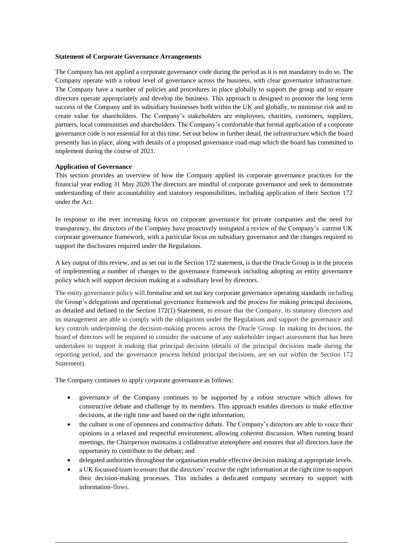#### **Statement of Corporate Governance Arrangements**

 The Company has not applied a corporate governance code during the period as it is not mandatory to do so. The Company operate with a robust level of governance across the business, with clear governance infrastructure. The Company have a number of policies and procedures in place globally to support the group and to ensure directors operate appropriately and develop the business. This approach is designed to promote the long term success of the Company and its subsidiary businesses both within the UK and globally, to minimise risk and to create value for shareholders. The Company's stakeholders are employees, charities, customers, suppliers, partners, local communities and shareholders. The Company's comfortable that formal application of a corporate governance code is not essential for at this time. Set out below in further detail, the infrastructure which the board presently has in place, along with details of a proposed governance road-map which the board has committed to implement during the course of 2021.

#### **Application of Governance**

 This section provides an overview of how the Company applied its corporate governance practices for the financial year ending 31 May 2020.The directors are mindful of corporate governance and seek to demonstrate understanding of their accountability and statutory responsibilities, including application of their Section 172 under the Act.

 In response to the ever increasing focus on corporate governance for private companies and the need for transparency, the directors of the Company have proactively instigated a review of the Company's current UK corporate governance framework, with a particular focus on subsidiary governance and the changes required to support the disclosures required under the Regulations.

 A key output of this review, and as set out in the Section 172 statement, is that the Oracle Group is in the process of implementing a number of changes to the governance framework including adopting an entity governance policy which will support decision making at a subsidiary level by directors.

 The entity governance policy will formalise and set out key corporate governance operating standards including the Group's delegations and operational governance framework and the process for making principal decisions, as detailed and defined in the Section 172(1) Statement, to ensure that the Company, its statutory directors and its management are able to comply with the obligations under the Regulations and support the governance and key controls underpinning the decision-making process across the Oracle Group. In making its decision, the board of directors will be required to consider the outcome of any stakeholder impact assessment that has been undertaken to support it making that principal decision (details of the principal decisions made during the reporting period, and the governance process behind principal decisions, are set out within the Section 172 Statement).

The Company continues to apply corporate governance as follows:

- governance of the Company continues to be supported by a robust structure which allows for constructive debate and challenge by its members. This approach enables directors to make effective decisions, at the right time and based on the right information;
- the culture is one of openness and constructive debate. The Company's directors are able to voice their opinions in a relaxed and respectful environment, allowing coherent discussion. When running board meetings, the Chairperson maintains a collaborative atmosphere and ensures that all directors have the opportunity to contribute to the debate; and
- delegated authorities throughout the organisation enable effective decision making at appropriate levels.
- a UK focussed team to ensure that the directors' receive the right information at the right time to support their decision-making processes. This includes a dedicated company secretary to support with information-flows.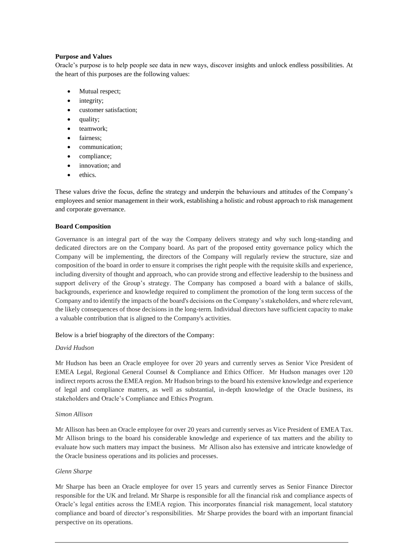### **Purpose and Values**

 Oracle's purpose is to help people see data in new ways, discover insights and unlock endless possibilities. At the heart of this purposes are the following values:

- Mutual respect;
- integrity;
- customer satisfaction;
- quality;
- teamwork;
- fairness;
- communication;
- compliance;
- innovation; and
- ethics.

 These values drive the focus, define the strategy and underpin the behaviours and attitudes of the Company's employees and senior management in their work, establishing a holistic and robust approach to risk management and corporate governance.

# **Board Composition**

 Governance is an integral part of the way the Company delivers strategy and why such long-standing and dedicated directors are on the Company board. As part of the proposed entity governance policy which the Company will be implementing, the directors of the Company will regularly review the structure, size and composition of the board in order to ensure it comprises the right people with the requisite skills and experience, including diversity of thought and approach, who can provide strong and effective leadership to the business and support delivery of the Group's strategy. The Company has composed a board with a balance of skills, backgrounds, experience and knowledge required to compliment the promotion of the long term success of the Company and to identify the impacts of the board's decisions on the Company'sstakeholders, and where relevant, the likely consequences of those decisions in the long-term. Individual directors have sufficient capacity to make a valuable contribution that is aligned to the Company's activities.

Below is a brief biography of the directors of the Company:

# *David Hudson*

 Mr Hudson has been an Oracle employee for over 20 years and currently serves as Senior Vice President of EMEA Legal, Regional General Counsel & Compliance and Ethics Officer. Mr Hudson manages over 120 indirect reports across the EMEA region. Mr Hudson brings to the board his extensive knowledge and experience of legal and compliance matters, as well as substantial, in-depth knowledge of the Oracle business, its stakeholders and Oracle's Compliance and Ethics Program.

### *Simon Allison*

 Mr Allison has been an Oracle employee for over 20 years and currently serves as Vice President of EMEA Tax. Mr Allison brings to the board his considerable knowledge and experience of tax matters and the ability to evaluate how such matters may impact the business. Mr Allison also has extensive and intricate knowledge of the Oracle business operations and its policies and processes.

# *Glenn Sharpe*

 Mr Sharpe has been an Oracle employee for over 15 years and currently serves as Senior Finance Director responsible for the UK and Ireland. Mr Sharpe is responsible for all the financial risk and compliance aspects of Oracle's legal entities across the EMEA region. This incorporates financial risk management, local statutory compliance and board of director's responsibilities. Mr Sharpe provides the board with an important financial perspective on its operations.